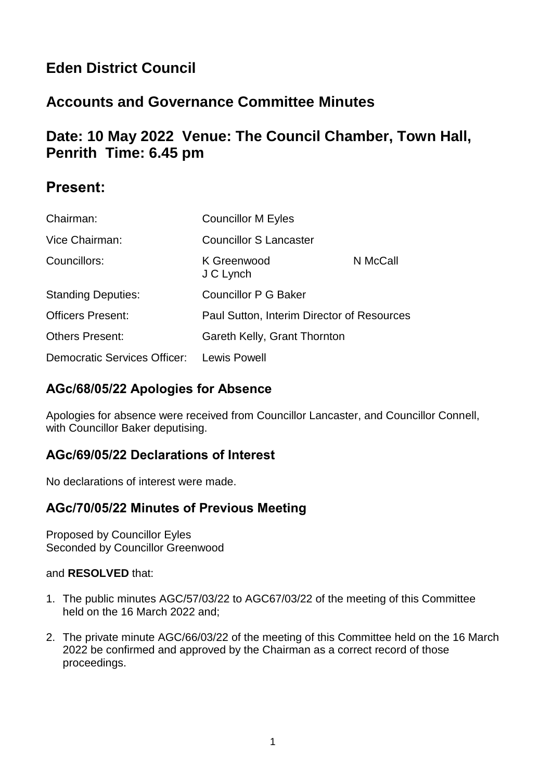# **Eden District Council**

# **Accounts and Governance Committee Minutes**

## **Date: 10 May 2022 Venue: The Council Chamber, Town Hall, Penrith Time: 6.45 pm**

### **Present:**

| Chairman:                                 | <b>Councillor M Eyles</b>                  |          |
|-------------------------------------------|--------------------------------------------|----------|
| Vice Chairman:                            | <b>Councillor S Lancaster</b>              |          |
| Councillors:                              | K Greenwood<br>J C Lynch                   | N McCall |
| <b>Standing Deputies:</b>                 | <b>Councillor P G Baker</b>                |          |
| <b>Officers Present:</b>                  | Paul Sutton, Interim Director of Resources |          |
| <b>Others Present:</b>                    | Gareth Kelly, Grant Thornton               |          |
| Democratic Services Officer: Lewis Powell |                                            |          |

#### **AGc/68/05/22 Apologies for Absence**

Apologies for absence were received from Councillor Lancaster, and Councillor Connell, with Councillor Baker deputising.

#### **AGc/69/05/22 Declarations of Interest**

No declarations of interest were made.

#### **AGc/70/05/22 Minutes of Previous Meeting**

Proposed by Councillor Eyles Seconded by Councillor Greenwood

#### and **RESOLVED** that:

- 1. The public minutes AGC/57/03/22 to AGC67/03/22 of the meeting of this Committee held on the 16 March 2022 and;
- 2. The private minute AGC/66/03/22 of the meeting of this Committee held on the 16 March 2022 be confirmed and approved by the Chairman as a correct record of those proceedings.